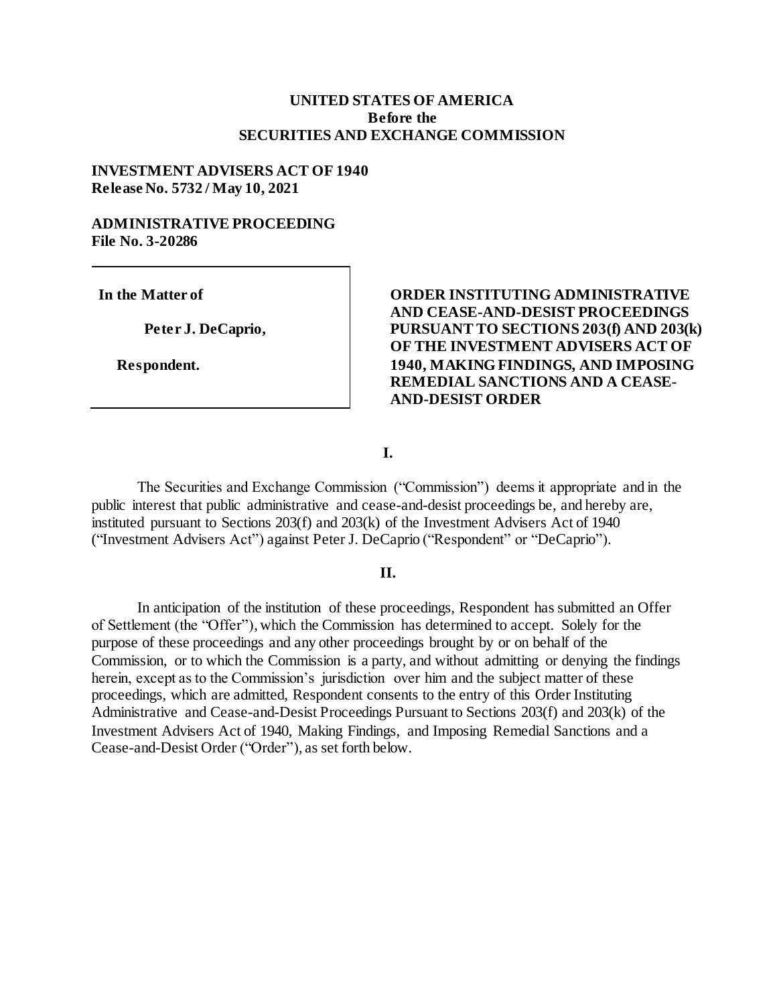#### **UNITED STATES OF AMERICA Before the SECURITIES AND EXCHANGE COMMISSION**

#### **INVESTMENT ADVISERS ACT OF 1940 Release No. 5732 / May 10, 2021**

#### **ADMINISTRATIVE PROCEEDING File No. 3-20286**

**In the Matter of**

**Peter J. DeCaprio,**

 **Respondent.**

**ORDER INSTITUTING ADMINISTRATIVE AND CEASE-AND-DESIST PROCEEDINGS PURSUANT TO SECTIONS 203(f) AND 203(k) OF THE INVESTMENT ADVISERS ACT OF 1940, MAKING FINDINGS, AND IMPOSING REMEDIAL SANCTIONS AND A CEASE-AND-DESIST ORDER**

**I.**

The Securities and Exchange Commission ("Commission") deems it appropriate and in the public interest that public administrative and cease-and-desist proceedings be, and hereby are, instituted pursuant to Sections 203(f) and 203(k) of the Investment Advisers Act of 1940 ("Investment Advisers Act") against Peter J. DeCaprio ("Respondent" or "DeCaprio").

#### **II.**

In anticipation of the institution of these proceedings, Respondent has submitted an Offer of Settlement (the "Offer"), which the Commission has determined to accept. Solely for the purpose of these proceedings and any other proceedings brought by or on behalf of the Commission, or to which the Commission is a party, and without admitting or denying the findings herein, except as to the Commission's jurisdiction over him and the subject matter of these proceedings, which are admitted, Respondent consents to the entry of this Order Instituting Administrative and Cease-and-Desist Proceedings Pursuant to Sections 203(f) and 203(k) of the Investment Advisers Act of 1940, Making Findings, and Imposing Remedial Sanctions and a Cease-and-Desist Order ("Order"), as set forth below.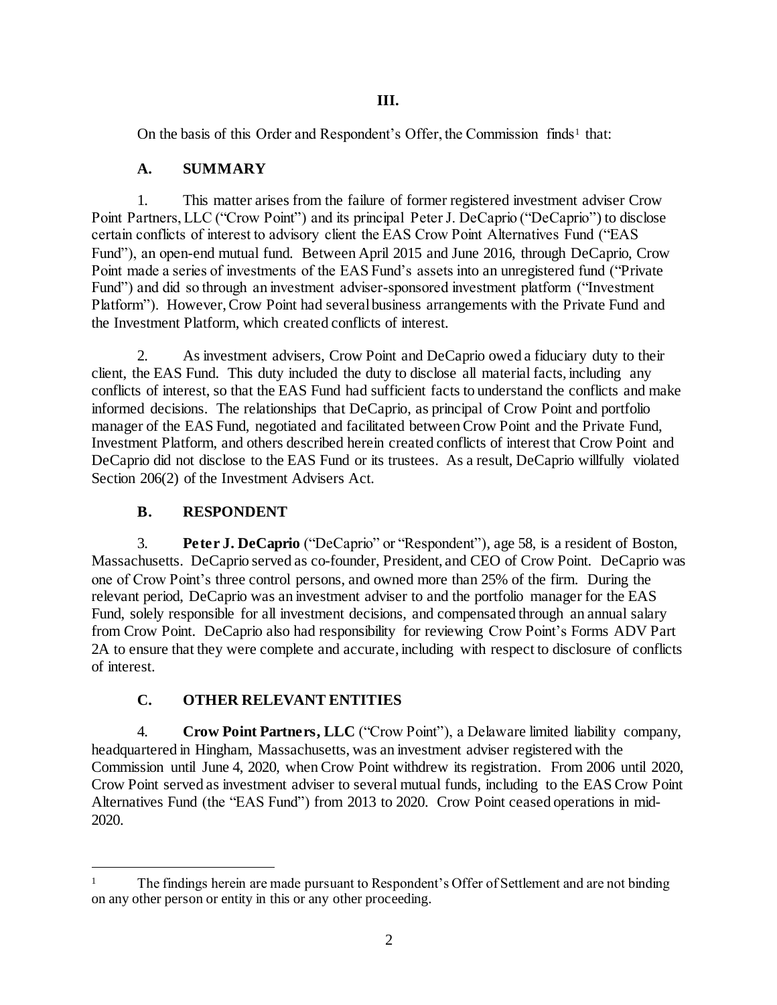## **III.**

On the basis of this Order and Respondent's Offer, the Commission finds<sup>1</sup> that:

# **A. SUMMARY**

1. This matter arises from the failure of former registered investment adviser Crow Point Partners, LLC ("Crow Point") and its principal Peter J. DeCaprio ("DeCaprio") to disclose certain conflicts of interest to advisory client the EAS Crow Point Alternatives Fund ("EAS Fund"), an open-end mutual fund. Between April 2015 and June 2016, through DeCaprio, Crow Point made a series of investments of the EAS Fund's assets into an unregistered fund ("Private Fund") and did so through an investment adviser-sponsored investment platform ("Investment Platform"). However, Crow Point had several business arrangements with the Private Fund and the Investment Platform, which created conflicts of interest.

2. As investment advisers, Crow Point and DeCaprio owed a fiduciary duty to their client, the EAS Fund. This duty included the duty to disclose all material facts, including any conflicts of interest, so that the EAS Fund had sufficient facts to understand the conflicts and make informed decisions. The relationships that DeCaprio, as principal of Crow Point and portfolio manager of the EAS Fund, negotiated and facilitated between Crow Point and the Private Fund, Investment Platform, and others described herein created conflicts of interest that Crow Point and DeCaprio did not disclose to the EAS Fund or its trustees. As a result, DeCaprio willfully violated Section 206(2) of the Investment Advisers Act.

# **B. RESPONDENT**

l

3. **Peter J. DeCaprio** ("DeCaprio" or "Respondent"), age 58, is a resident of Boston, Massachusetts. DeCaprio served as co-founder, President, and CEO of Crow Point. DeCaprio was one of Crow Point's three control persons, and owned more than 25% of the firm. During the relevant period, DeCaprio was an investment adviser to and the portfolio manager for the EAS Fund, solely responsible for all investment decisions, and compensated through an annual salary from Crow Point. DeCaprio also had responsibility for reviewing Crow Point's Forms ADV Part 2A to ensure that they were complete and accurate, including with respect to disclosure of conflicts of interest.

# **C. OTHER RELEVANT ENTITIES**

4. **Crow Point Partners, LLC** ("Crow Point"), a Delaware limited liability company, headquartered in Hingham, Massachusetts, was an investment adviser registered with the Commission until June 4, 2020, when Crow Point withdrew its registration. From 2006 until 2020, Crow Point served as investment adviser to several mutual funds, including to the EAS Crow Point Alternatives Fund (the "EAS Fund") from 2013 to 2020. Crow Point ceased operations in mid-2020.

<sup>1</sup> The findings herein are made pursuant to Respondent's Offer of Settlement and are not binding on any other person or entity in this or any other proceeding.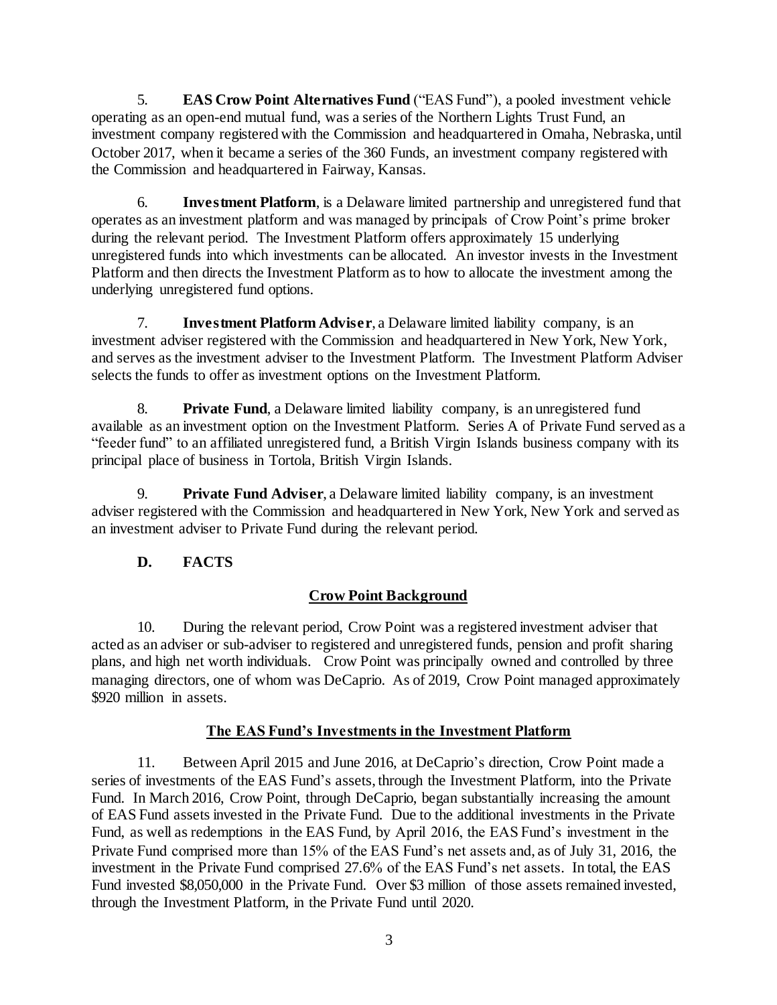5. **EAS Crow Point Alternatives Fund** ("EAS Fund"), a pooled investment vehicle operating as an open-end mutual fund, was a series of the Northern Lights Trust Fund, an investment company registered with the Commission and headquartered in Omaha, Nebraska, until October 2017, when it became a series of the 360 Funds, an investment company registered with the Commission and headquartered in Fairway, Kansas.

6. **Investment Platform**, is a Delaware limited partnership and unregistered fund that operates as an investment platform and was managed by principals of Crow Point's prime broker during the relevant period. The Investment Platform offers approximately 15 underlying unregistered funds into which investments can be allocated. An investor invests in the Investment Platform and then directs the Investment Platform as to how to allocate the investment among the underlying unregistered fund options.

7. **Investment Platform Adviser**, a Delaware limited liability company, is an investment adviser registered with the Commission and headquartered in New York, New York, and serves as the investment adviser to the Investment Platform. The Investment Platform Adviser selects the funds to offer as investment options on the Investment Platform.

8. **Private Fund**, a Delaware limited liability company, is an unregistered fund available as an investment option on the Investment Platform. Series A of Private Fund served as a "feeder fund" to an affiliated unregistered fund, a British Virgin Islands business company with its principal place of business in Tortola, British Virgin Islands.

9. **Private Fund Adviser**, a Delaware limited liability company, is an investment adviser registered with the Commission and headquartered in New York, New York and served as an investment adviser to Private Fund during the relevant period.

# **D. FACTS**

# **Crow Point Background**

10. During the relevant period, Crow Point was a registered investment adviser that acted as an adviser or sub-adviser to registered and unregistered funds, pension and profit sharing plans, and high net worth individuals. Crow Point was principally owned and controlled by three managing directors, one of whom was DeCaprio. As of 2019, Crow Point managed approximately \$920 million in assets.

## **The EAS Fund's Investments in the Investment Platform**

11. Between April 2015 and June 2016, at DeCaprio's direction, Crow Point made a series of investments of the EAS Fund's assets, through the Investment Platform, into the Private Fund. In March 2016, Crow Point, through DeCaprio, began substantially increasing the amount of EAS Fund assets invested in the Private Fund. Due to the additional investments in the Private Fund, as well as redemptions in the EAS Fund, by April 2016, the EAS Fund's investment in the Private Fund comprised more than 15% of the EAS Fund's net assets and, as of July 31, 2016, the investment in the Private Fund comprised 27.6% of the EAS Fund's net assets. In total, the EAS Fund invested \$8,050,000 in the Private Fund. Over \$3 million of those assets remained invested, through the Investment Platform, in the Private Fund until 2020.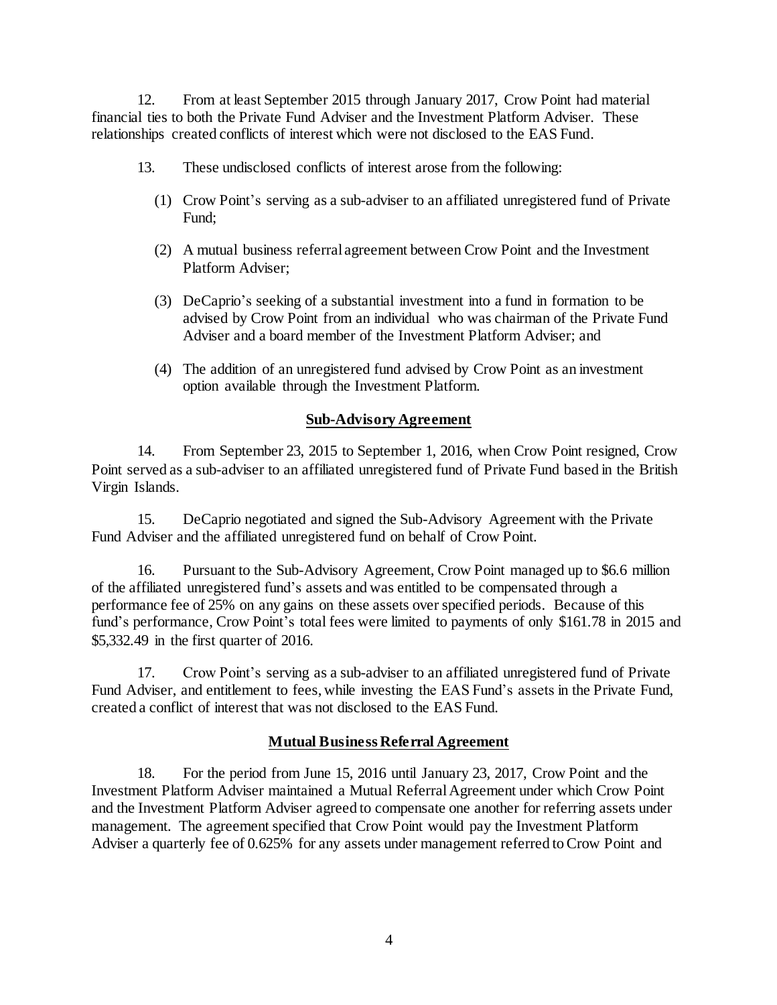12. From at least September 2015 through January 2017, Crow Point had material financial ties to both the Private Fund Adviser and the Investment Platform Adviser. These relationships created conflicts of interest which were not disclosed to the EAS Fund.

- 13. These undisclosed conflicts of interest arose from the following:
	- (1) Crow Point's serving as a sub-adviser to an affiliated unregistered fund of Private Fund;
	- (2) A mutual business referral agreement between Crow Point and the Investment Platform Adviser;
	- (3) DeCaprio's seeking of a substantial investment into a fund in formation to be advised by Crow Point from an individual who was chairman of the Private Fund Adviser and a board member of the Investment Platform Adviser; and
	- (4) The addition of an unregistered fund advised by Crow Point as an investment option available through the Investment Platform.

#### **Sub-Advisory Agreement**

14. From September 23, 2015 to September 1, 2016, when Crow Point resigned, Crow Point served as a sub-adviser to an affiliated unregistered fund of Private Fund based in the British Virgin Islands.

15. DeCaprio negotiated and signed the Sub-Advisory Agreement with the Private Fund Adviser and the affiliated unregistered fund on behalf of Crow Point.

16. Pursuant to the Sub-Advisory Agreement, Crow Point managed up to \$6.6 million of the affiliated unregistered fund's assets and was entitled to be compensated through a performance fee of 25% on any gains on these assets over specified periods. Because of this fund's performance, Crow Point's total fees were limited to payments of only \$161.78 in 2015 and \$5,332.49 in the first quarter of 2016.

17. Crow Point's serving as a sub-adviser to an affiliated unregistered fund of Private Fund Adviser, and entitlement to fees, while investing the EAS Fund's assets in the Private Fund, created a conflict of interest that was not disclosed to the EAS Fund.

#### **Mutual Business Referral Agreement**

18. For the period from June 15, 2016 until January 23, 2017, Crow Point and the Investment Platform Adviser maintained a Mutual Referral Agreement under which Crow Point and the Investment Platform Adviser agreed to compensate one another for referring assets under management. The agreement specified that Crow Point would pay the Investment Platform Adviser a quarterly fee of 0.625% for any assets under management referred to Crow Point and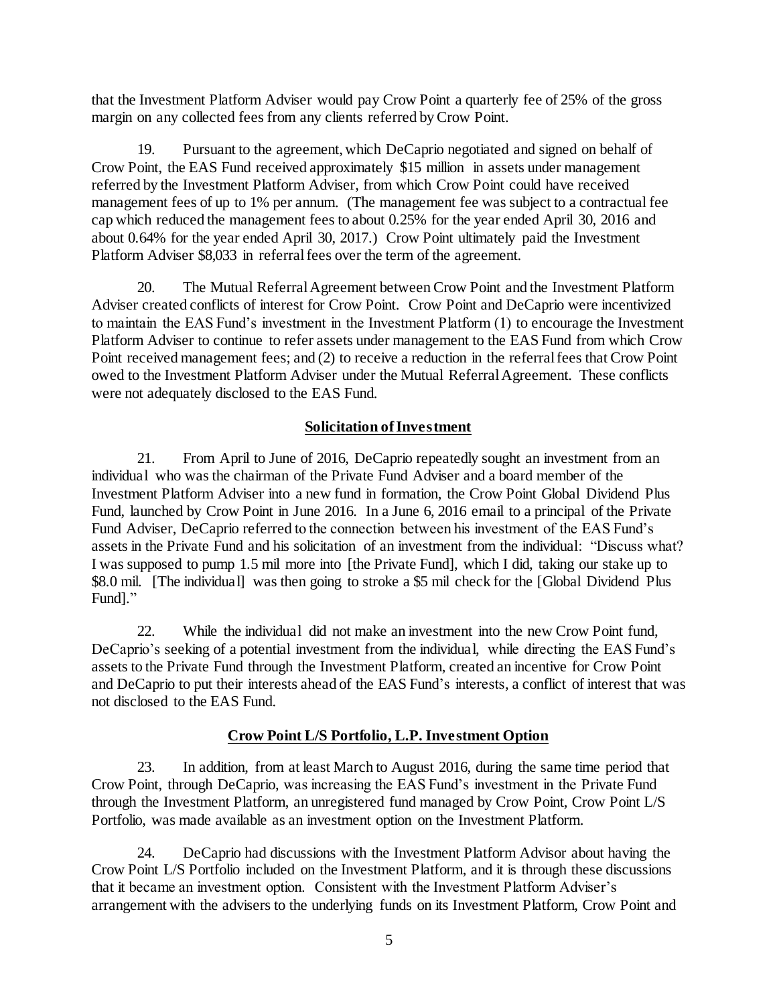that the Investment Platform Adviser would pay Crow Point a quarterly fee of 25% of the gross margin on any collected fees from any clients referred by Crow Point.

19. Pursuant to the agreement, which DeCaprio negotiated and signed on behalf of Crow Point, the EAS Fund received approximately \$15 million in assets under management referred by the Investment Platform Adviser, from which Crow Point could have received management fees of up to 1% per annum. (The management fee was subject to a contractual fee cap which reduced the management fees to about 0.25% for the year ended April 30, 2016 and about 0.64% for the year ended April 30, 2017.) Crow Point ultimately paid the Investment Platform Adviser \$8,033 in referral fees over the term of the agreement.

20. The Mutual Referral Agreement between Crow Point and the Investment Platform Adviser created conflicts of interest for Crow Point. Crow Point and DeCaprio were incentivized to maintain the EAS Fund's investment in the Investment Platform (1) to encourage the Investment Platform Adviser to continue to refer assets under management to the EAS Fund from which Crow Point received management fees; and (2) to receive a reduction in the referral fees that Crow Point owed to the Investment Platform Adviser under the Mutual Referral Agreement. These conflicts were not adequately disclosed to the EAS Fund.

## **Solicitation of Investment**

21. From April to June of 2016, DeCaprio repeatedly sought an investment from an individual who was the chairman of the Private Fund Adviser and a board member of the Investment Platform Adviser into a new fund in formation, the Crow Point Global Dividend Plus Fund, launched by Crow Point in June 2016. In a June 6, 2016 email to a principal of the Private Fund Adviser, DeCaprio referred to the connection between his investment of the EAS Fund's assets in the Private Fund and his solicitation of an investment from the individual: "Discuss what? I was supposed to pump 1.5 mil more into [the Private Fund], which I did, taking our stake up to \$8.0 mil. [The individual] was then going to stroke a \$5 mil check for the [Global Dividend Plus Fund]."

22. While the individual did not make an investment into the new Crow Point fund, DeCaprio's seeking of a potential investment from the individual, while directing the EAS Fund's assets to the Private Fund through the Investment Platform, created an incentive for Crow Point and DeCaprio to put their interests ahead of the EAS Fund's interests, a conflict of interest that was not disclosed to the EAS Fund.

## **Crow Point L/S Portfolio, L.P. Investment Option**

23. In addition, from at least March to August 2016, during the same time period that Crow Point, through DeCaprio, was increasing the EAS Fund's investment in the Private Fund through the Investment Platform, an unregistered fund managed by Crow Point, Crow Point L/S Portfolio, was made available as an investment option on the Investment Platform.

24. DeCaprio had discussions with the Investment Platform Advisor about having the Crow Point L/S Portfolio included on the Investment Platform, and it is through these discussions that it became an investment option. Consistent with the Investment Platform Adviser's arrangement with the advisers to the underlying funds on its Investment Platform, Crow Point and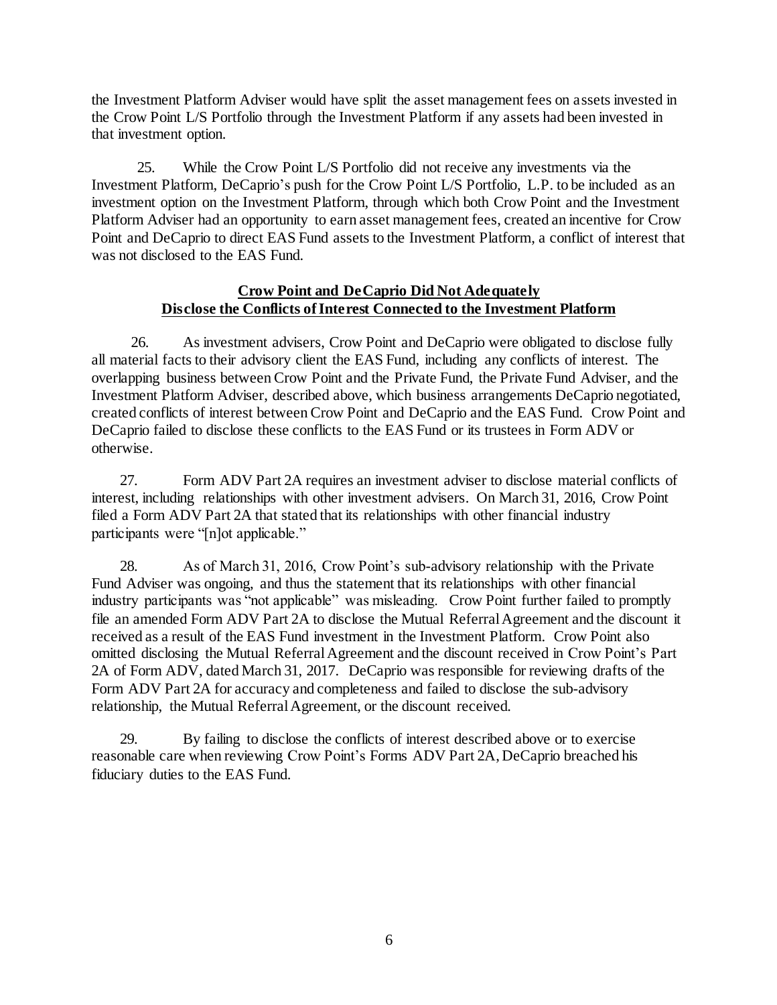the Investment Platform Adviser would have split the asset management fees on assets invested in the Crow Point L/S Portfolio through the Investment Platform if any assets had been invested in that investment option.

25. While the Crow Point L/S Portfolio did not receive any investments via the Investment Platform, DeCaprio's push for the Crow Point L/S Portfolio, L.P. to be included as an investment option on the Investment Platform, through which both Crow Point and the Investment Platform Adviser had an opportunity to earn asset management fees, created an incentive for Crow Point and DeCaprio to direct EAS Fund assets to the Investment Platform, a conflict of interest that was not disclosed to the EAS Fund.

### **Crow Point and DeCaprio Did Not Adequately Disclose the Conflicts of Interest Connected to the Investment Platform**

26. As investment advisers, Crow Point and DeCaprio were obligated to disclose fully all material facts to their advisory client the EAS Fund, including any conflicts of interest. The overlapping business between Crow Point and the Private Fund, the Private Fund Adviser, and the Investment Platform Adviser, described above, which business arrangements DeCaprio negotiated, created conflicts of interest between Crow Point and DeCaprio and the EAS Fund. Crow Point and DeCaprio failed to disclose these conflicts to the EAS Fund or its trustees in Form ADV or otherwise.

27. Form ADV Part 2A requires an investment adviser to disclose material conflicts of interest, including relationships with other investment advisers. On March 31, 2016, Crow Point filed a Form ADV Part 2A that stated that its relationships with other financial industry participants were "[n]ot applicable."

28. As of March 31, 2016, Crow Point's sub-advisory relationship with the Private Fund Adviser was ongoing, and thus the statement that its relationships with other financial industry participants was "not applicable" was misleading. Crow Point further failed to promptly file an amended Form ADV Part 2A to disclose the Mutual Referral Agreement and the discount it received as a result of the EAS Fund investment in the Investment Platform. Crow Point also omitted disclosing the Mutual Referral Agreement and the discount received in Crow Point's Part 2A of Form ADV, dated March 31, 2017. DeCaprio was responsible for reviewing drafts of the Form ADV Part 2A for accuracy and completeness and failed to disclose the sub-advisory relationship, the Mutual Referral Agreement, or the discount received.

29. By failing to disclose the conflicts of interest described above or to exercise reasonable care when reviewing Crow Point's Forms ADV Part 2A, DeCaprio breached his fiduciary duties to the EAS Fund.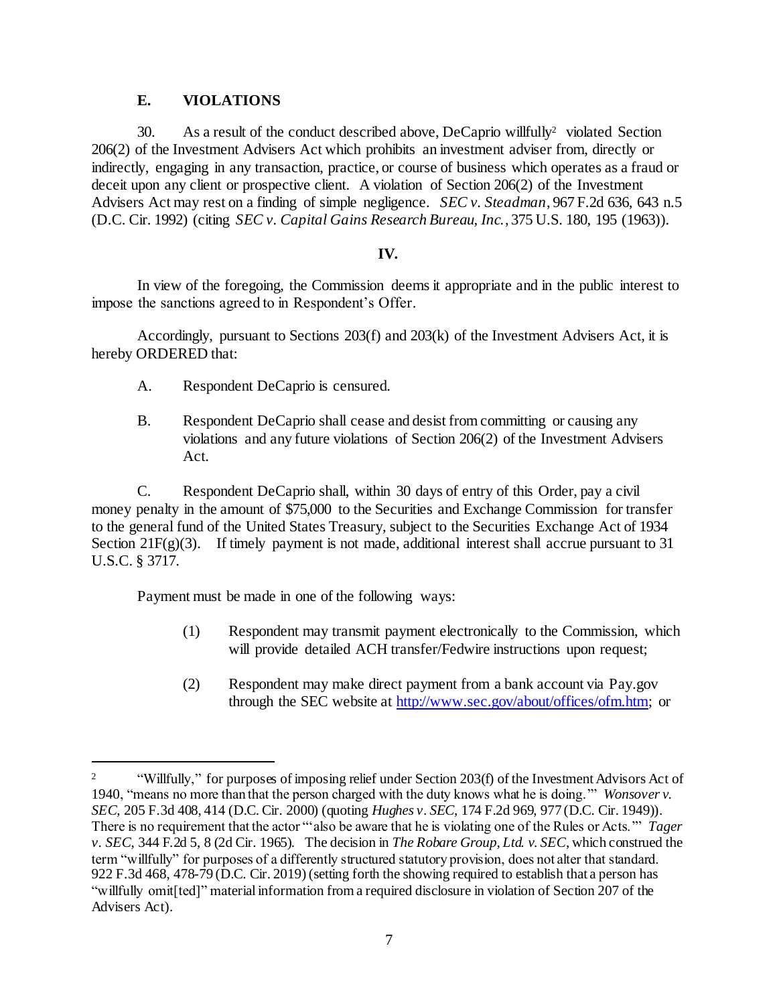## **E. VIOLATIONS**

30. As a result of the conduct described above, DeCaprio willfully<sup>2</sup> violated Section 206(2) of the Investment Advisers Act which prohibits an investment adviser from, directly or indirectly, engaging in any transaction, practice, or course of business which operates as a fraud or deceit upon any client or prospective client. A violation of Section 206(2) of the Investment Advisers Act may rest on a finding of simple negligence. *SEC v. Steadman*, 967 F.2d 636, 643 n.5 (D.C. Cir. 1992) (citing *SEC v. Capital Gains Research Bureau, Inc.*, 375 U.S. 180, 195 (1963)).

### **IV.**

In view of the foregoing, the Commission deems it appropriate and in the public interest to impose the sanctions agreed to in Respondent's Offer.

Accordingly, pursuant to Sections 203(f) and 203(k) of the Investment Advisers Act, it is hereby ORDERED that:

- A. Respondent DeCaprio is censured.
- B. Respondent DeCaprio shall cease and desist from committing or causing any violations and any future violations of Section 206(2) of the Investment Advisers Act.

C. Respondent DeCaprio shall, within 30 days of entry of this Order, pay a civil money penalty in the amount of \$75,000 to the Securities and Exchange Commission for transfer to the general fund of the United States Treasury, subject to the Securities Exchange Act of 1934 Section 21F(g)(3). If timely payment is not made, additional interest shall accrue pursuant to 31 U.S.C. § 3717.

Payment must be made in one of the following ways:

l

- (1) Respondent may transmit payment electronically to the Commission, which will provide detailed ACH transfer/Fedwire instructions upon request;
- (2) Respondent may make direct payment from a bank account via Pay.gov through the SEC website a[t http://www.sec.gov/about/offices/ofm.htm;](http://www.sec.gov/about/offices/ofm.htm) or

<sup>&</sup>lt;sup>2</sup> "Willfully," for purposes of imposing relief under Section 203(f) of the Investment Advisors Act of 1940, "means no more than that the person charged with the duty knows what he is doing.'" *Wonsover v. SEC*, 205 F.3d 408, 414 (D.C. Cir. 2000) (quoting *Hughes v. SEC*, 174 F.2d 969, 977 (D.C. Cir. 1949)). There is no requirement that the actor "'also be aware that he is violating one of the Rules or Acts.'" *Tager v. SEC*, 344 F.2d 5, 8 (2d Cir. 1965). The decision in *The Robare Group, Ltd. v. SEC*, which construed the term "willfully" for purposes of a differently structured statutory provision, does not alter that standard. 922 F.3d 468, 478-79 (D.C. Cir. 2019) (setting forth the showing required to establish that a person has "willfully omit[ted]" material information from a required disclosure in violation of Section 207 of the Advisers Act).